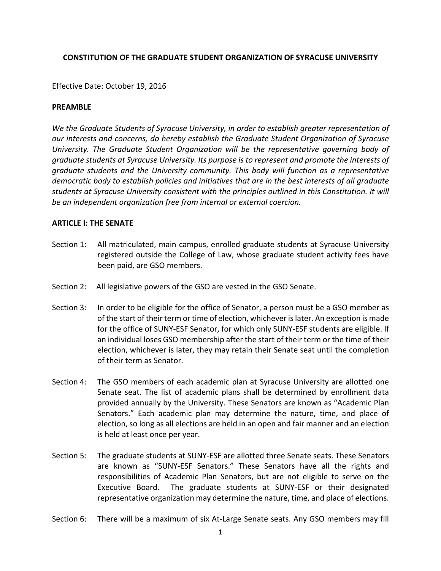## **CONSTITUTION OF THE GRADUATE STUDENT ORGANIZATION OF SYRACUSE UNIVERSITY**

Effective Date: October 19, 2016

### **PREAMBLE**

*We the Graduate Students of Syracuse University, in order to establish greater representation of our interests and concerns, do hereby establish the Graduate Student Organization of Syracuse University. The Graduate Student Organization will be the representative governing body of graduate students at Syracuse University. Its purpose is to represent and promote the interests of graduate students and the University community. This body will function as a representative democratic body to establish policies and initiatives that are in the best interests of all graduate students at Syracuse University consistent with the principles outlined in this Constitution. It will be an independent organization free from internal or external coercion.*

### **ARTICLE I: THE SENATE**

- Section 1: All matriculated, main campus, enrolled graduate students at Syracuse University registered outside the College of Law, whose graduate student activity fees have been paid, are GSO members.
- Section 2: All legislative powers of the GSO are vested in the GSO Senate.
- Section 3: In order to be eligible for the office of Senator, a person must be a GSO member as of the start of their term or time of election, whichever is later. An exception is made for the office of SUNY-ESF Senator, for which only SUNY-ESF students are eligible. If an individual loses GSO membership after the start of their term or the time of their election, whichever is later, they may retain their Senate seat until the completion of their term as Senator.
- Section 4: The GSO members of each academic plan at Syracuse University are allotted one Senate seat. The list of academic plans shall be determined by enrollment data provided annually by the University. These Senators are known as "Academic Plan Senators." Each academic plan may determine the nature, time, and place of election, so long as all elections are held in an open and fair manner and an election is held at least once per year.
- Section 5: The graduate students at SUNY-ESF are allotted three Senate seats. These Senators are known as "SUNY-ESF Senators." These Senators have all the rights and responsibilities of Academic Plan Senators, but are not eligible to serve on the Executive Board. The graduate students at SUNY-ESF or their designated representative organization may determine the nature, time, and place of elections.
- Section 6: There will be a maximum of six At-Large Senate seats. Any GSO members may fill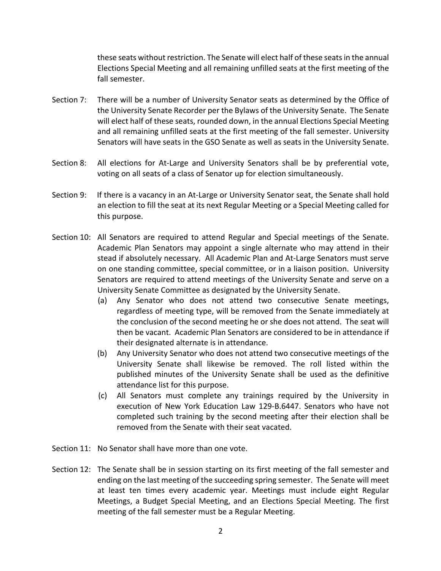these seats without restriction. The Senate will elect half of these seats in the annual Elections Special Meeting and all remaining unfilled seats at the first meeting of the fall semester.

- Section 7: There will be a number of University Senator seats as determined by the Office of the University Senate Recorder per the Bylaws of the University Senate. The Senate will elect half of these seats, rounded down, in the annual Elections Special Meeting and all remaining unfilled seats at the first meeting of the fall semester. University Senators will have seats in the GSO Senate as well as seats in the University Senate.
- Section 8: All elections for At-Large and University Senators shall be by preferential vote, voting on all seats of a class of Senator up for election simultaneously.
- Section 9: If there is a vacancy in an At-Large or University Senator seat, the Senate shall hold an election to fill the seat at its next Regular Meeting or a Special Meeting called for this purpose.
- Section 10: All Senators are required to attend Regular and Special meetings of the Senate. Academic Plan Senators may appoint a single alternate who may attend in their stead if absolutely necessary. All Academic Plan and At-Large Senators must serve on one standing committee, special committee, or in a liaison position. University Senators are required to attend meetings of the University Senate and serve on a University Senate Committee as designated by the University Senate.
	- (a) Any Senator who does not attend two consecutive Senate meetings, regardless of meeting type, will be removed from the Senate immediately at the conclusion of the second meeting he or she does not attend. The seat will then be vacant. Academic Plan Senators are considered to be in attendance if their designated alternate is in attendance.
	- (b) Any University Senator who does not attend two consecutive meetings of the University Senate shall likewise be removed. The roll listed within the published minutes of the University Senate shall be used as the definitive attendance list for this purpose.
	- (c) All Senators must complete any trainings required by the University in execution of New York Education Law 129-B.6447. Senators who have not completed such training by the second meeting after their election shall be removed from the Senate with their seat vacated.
- Section 11: No Senator shall have more than one vote.
- Section 12: The Senate shall be in session starting on its first meeting of the fall semester and ending on the last meeting of the succeeding spring semester. The Senate will meet at least ten times every academic year. Meetings must include eight Regular Meetings, a Budget Special Meeting, and an Elections Special Meeting. The first meeting of the fall semester must be a Regular Meeting.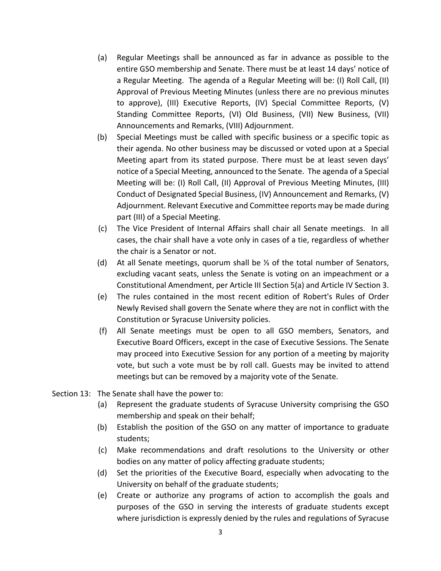- (a) Regular Meetings shall be announced as far in advance as possible to the entire GSO membership and Senate. There must be at least 14 days' notice of a Regular Meeting. The agenda of a Regular Meeting will be: (I) Roll Call, (II) Approval of Previous Meeting Minutes (unless there are no previous minutes to approve), (III) Executive Reports, (IV) Special Committee Reports, (V) Standing Committee Reports, (VI) Old Business, (VII) New Business, (VII) Announcements and Remarks, (VIII) Adjournment.
- (b) Special Meetings must be called with specific business or a specific topic as their agenda. No other business may be discussed or voted upon at a Special Meeting apart from its stated purpose. There must be at least seven days' notice of a Special Meeting, announced to the Senate. The agenda of a Special Meeting will be: (I) Roll Call, (II) Approval of Previous Meeting Minutes, (III) Conduct of Designated Special Business, (IV) Announcement and Remarks, (V) Adjournment. Relevant Executive and Committee reports may be made during part (III) of a Special Meeting.
- (c) The Vice President of Internal Affairs shall chair all Senate meetings. In all cases, the chair shall have a vote only in cases of a tie, regardless of whether the chair is a Senator or not.
- (d) At all Senate meetings, quorum shall be <sup>1</sup>% of the total number of Senators, excluding vacant seats, unless the Senate is voting on an impeachment or a Constitutional Amendment, per Article III Section 5(a) and Article IV Section 3.
- (e) The rules contained in the most recent edition of Robert's Rules of Order Newly Revised shall govern the Senate where they are not in conflict with the Constitution or Syracuse University policies.
- (f) All Senate meetings must be open to all GSO members, Senators, and Executive Board Officers, except in the case of Executive Sessions. The Senate may proceed into Executive Session for any portion of a meeting by majority vote, but such a vote must be by roll call. Guests may be invited to attend meetings but can be removed by a majority vote of the Senate.
- Section 13: The Senate shall have the power to:
	- (a) Represent the graduate students of Syracuse University comprising the GSO membership and speak on their behalf;
	- (b) Establish the position of the GSO on any matter of importance to graduate students;
	- (c) Make recommendations and draft resolutions to the University or other bodies on any matter of policy affecting graduate students;
	- (d) Set the priorities of the Executive Board, especially when advocating to the University on behalf of the graduate students;
	- (e) Create or authorize any programs of action to accomplish the goals and purposes of the GSO in serving the interests of graduate students except where jurisdiction is expressly denied by the rules and regulations of Syracuse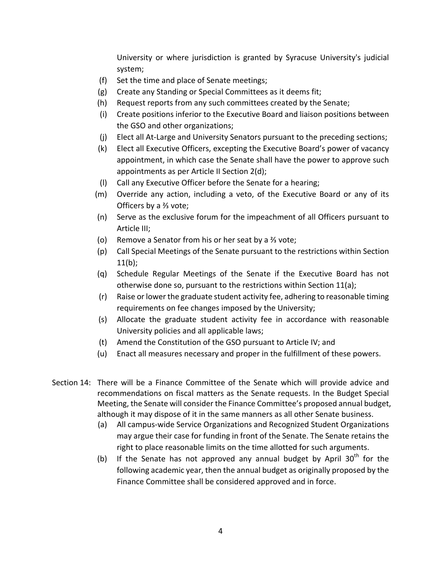University or where jurisdiction is granted by Syracuse University's judicial system;

- (f) Set the time and place of Senate meetings;
- (g) Create any Standing or Special Committees as it deems fit;
- (h) Request reports from any such committees created by the Senate;
- (i) Create positions inferior to the Executive Board and liaison positions between the GSO and other organizations;
- (j) Elect all At-Large and University Senators pursuant to the preceding sections;
- (k) Elect all Executive Officers, excepting the Executive Board's power of vacancy appointment, in which case the Senate shall have the power to approve such appointments as per Article II Section 2(d);
- (I) Call any Executive Officer before the Senate for a hearing;
- (m) Override any action, including a veto, of the Executive Board or any of its Officers by a <sup>3</sup>⁄<sub>3</sub> vote;
- (n) Serve as the exclusive forum for the impeachment of all Officers pursuant to Article III;
- (o) Remove a Senator from his or her seat by a  $\frac{2}{3}$  vote;
- (p) Call Special Meetings of the Senate pursuant to the restrictions within Section  $11(b)$ ;
- (q) Schedule Regular Meetings of the Senate if the Executive Board has not otherwise done so, pursuant to the restrictions within Section 11(a);
- (r) Raise or lower the graduate student activity fee, adhering to reasonable timing requirements on fee changes imposed by the University;
- (s) Allocate the graduate student activity fee in accordance with reasonable University policies and all applicable laws;
- (t) Amend the Constitution of the GSO pursuant to Article IV; and
- (u) Enact all measures necessary and proper in the fulfillment of these powers.
- Section 14: There will be a Finance Committee of the Senate which will provide advice and recommendations on fiscal matters as the Senate requests. In the Budget Special Meeting, the Senate will consider the Finance Committee's proposed annual budget, although it may dispose of it in the same manners as all other Senate business.
	- (a) All campus-wide Service Organizations and Recognized Student Organizations may argue their case for funding in front of the Senate. The Senate retains the right to place reasonable limits on the time allotted for such arguments.
	- (b) If the Senate has not approved any annual budget by April  $30<sup>th</sup>$  for the following academic year, then the annual budget as originally proposed by the Finance Committee shall be considered approved and in force.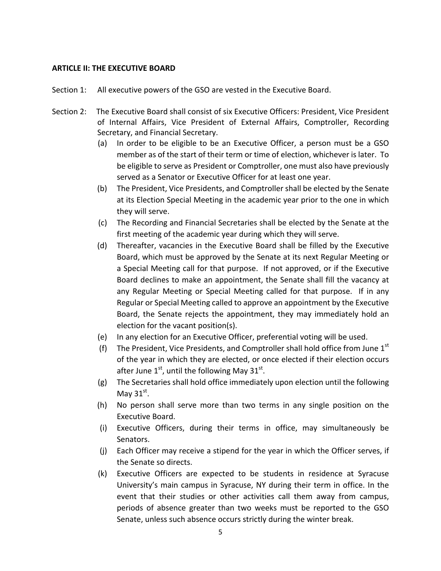#### **ARTICLE II: THE EXECUTIVE BOARD**

- Section 1: All executive powers of the GSO are vested in the Executive Board.
- Section 2: The Executive Board shall consist of six Executive Officers: President, Vice President of Internal Affairs, Vice President of External Affairs, Comptroller, Recording Secretary, and Financial Secretary.
	- (a) In order to be eligible to be an Executive Officer, a person must be a GSO member as of the start of their term or time of election, whichever is later. To be eligible to serve as President or Comptroller, one must also have previously served as a Senator or Executive Officer for at least one year.
	- (b) The President, Vice Presidents, and Comptroller shall be elected by the Senate at its Election Special Meeting in the academic year prior to the one in which they will serve.
	- (c) The Recording and Financial Secretaries shall be elected by the Senate at the first meeting of the academic year during which they will serve.
	- (d) Thereafter, vacancies in the Executive Board shall be filled by the Executive Board, which must be approved by the Senate at its next Regular Meeting or a Special Meeting call for that purpose. If not approved, or if the Executive Board declines to make an appointment, the Senate shall fill the vacancy at any Regular Meeting or Special Meeting called for that purpose. If in any Regular or Special Meeting called to approve an appointment by the Executive Board, the Senate rejects the appointment, they may immediately hold an election for the vacant position(s).
	- (e) In any election for an Executive Officer, preferential voting will be used.
	- (f) The President, Vice Presidents, and Comptroller shall hold office from June  $1<sup>st</sup>$ of the year in which they are elected, or once elected if their election occurs after June  $1<sup>st</sup>$ , until the following May 31<sup>st</sup>.
	- (g) The Secretaries shall hold office immediately upon election until the following May  $31<sup>st</sup>$ .
	- (h) No person shall serve more than two terms in any single position on the Executive Board.
	- (i) Executive Officers, during their terms in office, may simultaneously be Senators.
	- (j) Each Officer may receive a stipend for the year in which the Officer serves, if the Senate so directs.
	- (k) Executive Officers are expected to be students in residence at Syracuse University's main campus in Syracuse, NY during their term in office. In the event that their studies or other activities call them away from campus, periods of absence greater than two weeks must be reported to the GSO Senate, unless such absence occurs strictly during the winter break.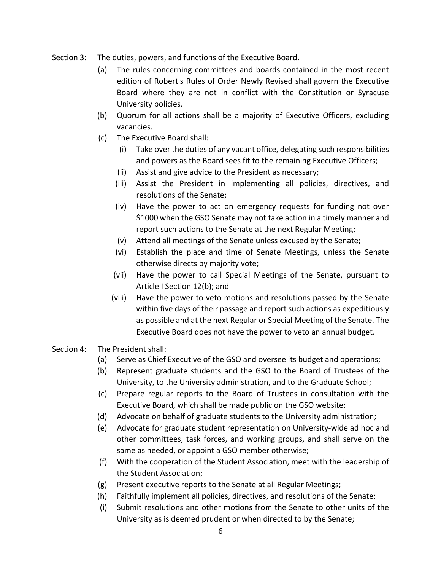- Section 3: The duties, powers, and functions of the Executive Board.
	- (a) The rules concerning committees and boards contained in the most recent edition of Robert's Rules of Order Newly Revised shall govern the Executive Board where they are not in conflict with the Constitution or Syracuse University policies.
	- (b) Quorum for all actions shall be a majority of Executive Officers, excluding vacancies.
	- (c) The Executive Board shall:
		- (i) Take over the duties of any vacant office, delegating such responsibilities and powers as the Board sees fit to the remaining Executive Officers;
		- (ii) Assist and give advice to the President as necessary;
		- (iii) Assist the President in implementing all policies, directives, and resolutions of the Senate:
		- (iv) Have the power to act on emergency requests for funding not over \$1000 when the GSO Senate may not take action in a timely manner and report such actions to the Senate at the next Regular Meeting;
		- (v) Attend all meetings of the Senate unless excused by the Senate;
		- (vi) Establish the place and time of Senate Meetings, unless the Senate otherwise directs by majority vote;
		- (vii) Have the power to call Special Meetings of the Senate, pursuant to Article I Section 12(b); and
		- (viii) Have the power to veto motions and resolutions passed by the Senate within five days of their passage and report such actions as expeditiously as possible and at the next Regular or Special Meeting of the Senate. The Executive Board does not have the power to veto an annual budget.
- Section 4: The President shall:
	- (a) Serve as Chief Executive of the GSO and oversee its budget and operations;
	- (b) Represent graduate students and the GSO to the Board of Trustees of the University, to the University administration, and to the Graduate School;
	- (c) Prepare regular reports to the Board of Trustees in consultation with the Executive Board, which shall be made public on the GSO website;
	- (d) Advocate on behalf of graduate students to the University administration;
	- (e) Advocate for graduate student representation on University-wide ad hoc and other committees, task forces, and working groups, and shall serve on the same as needed, or appoint a GSO member otherwise;
	- (f) With the cooperation of the Student Association, meet with the leadership of the Student Association;
	- (g) Present executive reports to the Senate at all Regular Meetings;
	- (h) Faithfully implement all policies, directives, and resolutions of the Senate;
	- (i) Submit resolutions and other motions from the Senate to other units of the University as is deemed prudent or when directed to by the Senate;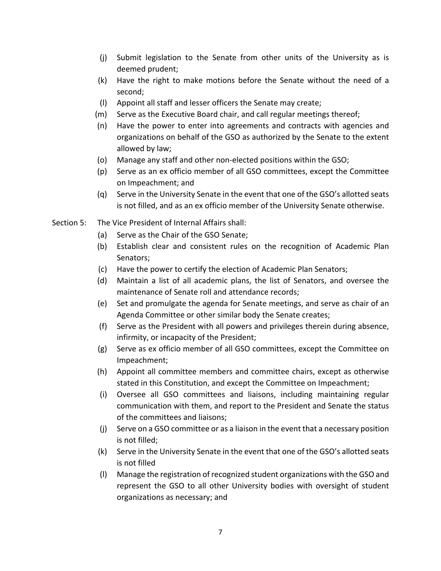- (j) Submit legislation to the Senate from other units of the University as is deemed prudent;
- $(k)$  Have the right to make motions before the Senate without the need of a second;
- (I) Appoint all staff and lesser officers the Senate may create;
- (m) Serve as the Executive Board chair, and call regular meetings thereof;
- (n) Have the power to enter into agreements and contracts with agencies and organizations on behalf of the GSO as authorized by the Senate to the extent allowed by law;
- (o) Manage any staff and other non-elected positions within the GSO;
- (p) Serve as an ex officio member of all GSO committees, except the Committee on Impeachment; and
- (q) Serve in the University Senate in the event that one of the GSO's allotted seats is not filled, and as an ex officio member of the University Senate otherwise.
- Section 5: The Vice President of Internal Affairs shall:
	- (a) Serve as the Chair of the GSO Senate;
	- (b) Establish clear and consistent rules on the recognition of Academic Plan Senators;
	- (c) Have the power to certify the election of Academic Plan Senators;
	- (d) Maintain a list of all academic plans, the list of Senators, and oversee the maintenance of Senate roll and attendance records;
	- (e) Set and promulgate the agenda for Senate meetings, and serve as chair of an Agenda Committee or other similar body the Senate creates;
	- (f) Serve as the President with all powers and privileges therein during absence, infirmity, or incapacity of the President;
	- (g) Serve as ex officio member of all GSO committees, except the Committee on Impeachment;
	- (h) Appoint all committee members and committee chairs, except as otherwise stated in this Constitution, and except the Committee on Impeachment;
	- (i) Oversee all GSO committees and liaisons, including maintaining regular communication with them, and report to the President and Senate the status of the committees and liaisons;
	- $(i)$  Serve on a GSO committee or as a liaison in the event that a necessary position is not filled;
	- (k) Serve in the University Senate in the event that one of the GSO's allotted seats is not filled
	- (I) Manage the registration of recognized student organizations with the GSO and represent the GSO to all other University bodies with oversight of student organizations as necessary; and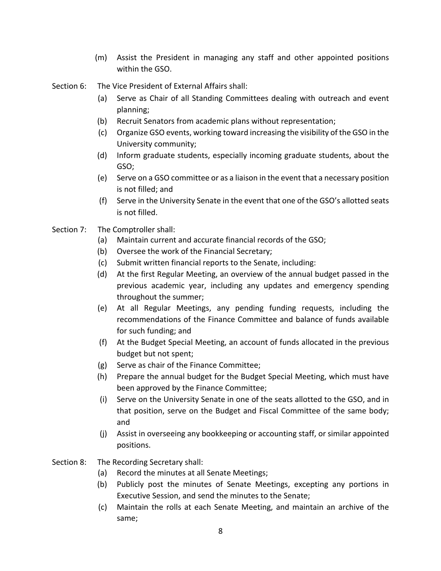- (m) Assist the President in managing any staff and other appointed positions within the GSO.
- Section 6: The Vice President of External Affairs shall:
	- (a) Serve as Chair of all Standing Committees dealing with outreach and event planning;
	- (b) Recruit Senators from academic plans without representation;
	- (c) Organize GSO events, working toward increasing the visibility of the GSO in the University community;
	- (d) Inform graduate students, especially incoming graduate students, about the GSO;
	- (e) Serve on a GSO committee or as a liaison in the event that a necessary position is not filled; and
	- (f) Serve in the University Senate in the event that one of the GSO's allotted seats is not filled.

### Section 7: The Comptroller shall:

- (a) Maintain current and accurate financial records of the GSO;
- (b) Oversee the work of the Financial Secretary;
- (c) Submit written financial reports to the Senate, including:
- (d) At the first Regular Meeting, an overview of the annual budget passed in the previous academic year, including any updates and emergency spending throughout the summer;
- (e) At all Regular Meetings, any pending funding requests, including the recommendations of the Finance Committee and balance of funds available for such funding; and
- (f) At the Budget Special Meeting, an account of funds allocated in the previous budget but not spent;
- (g) Serve as chair of the Finance Committee;
- (h) Prepare the annual budget for the Budget Special Meeting, which must have been approved by the Finance Committee;
- (i) Serve on the University Senate in one of the seats allotted to the GSO, and in that position, serve on the Budget and Fiscal Committee of the same body; and
- (j) Assist in overseeing any bookkeeping or accounting staff, or similar appointed positions.
- Section 8: The Recording Secretary shall:
	- (a) Record the minutes at all Senate Meetings;
	- (b) Publicly post the minutes of Senate Meetings, excepting any portions in Executive Session, and send the minutes to the Senate;
	- (c) Maintain the rolls at each Senate Meeting, and maintain an archive of the same;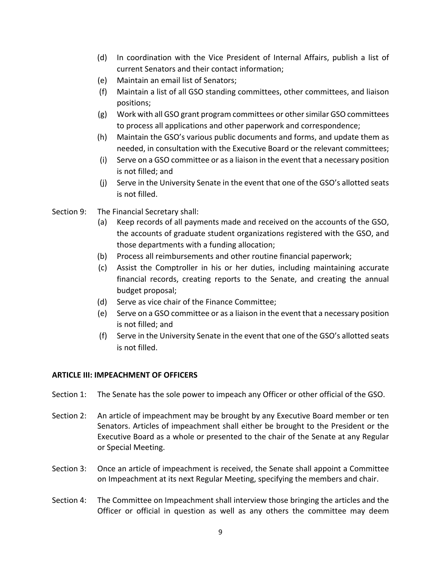- (d) In coordination with the Vice President of Internal Affairs, publish a list of current Senators and their contact information:
- (e) Maintain an email list of Senators;
- (f) Maintain a list of all GSO standing committees, other committees, and liaison positions;
- (g) Work with all GSO grant program committees or other similar GSO committees to process all applications and other paperwork and correspondence;
- (h) Maintain the GSO's various public documents and forms, and update them as needed, in consultation with the Executive Board or the relevant committees;
- $(i)$  Serve on a GSO committee or as a liaison in the event that a necessary position is not filled; and
- $(i)$  Serve in the University Senate in the event that one of the GSO's allotted seats is not filled.
- Section 9: The Financial Secretary shall:
	- (a) Keep records of all payments made and received on the accounts of the GSO, the accounts of graduate student organizations registered with the GSO, and those departments with a funding allocation;
	- (b) Process all reimbursements and other routine financial paperwork;
	- (c) Assist the Comptroller in his or her duties, including maintaining accurate financial records, creating reports to the Senate, and creating the annual budget proposal;
	- (d) Serve as vice chair of the Finance Committee;
	- (e) Serve on a GSO committee or as a liaison in the event that a necessary position is not filled; and
	- (f) Serve in the University Senate in the event that one of the GSO's allotted seats is not filled.

# **ARTICLE III: IMPEACHMENT OF OFFICERS**

- Section 1: The Senate has the sole power to impeach any Officer or other official of the GSO.
- Section 2: An article of impeachment may be brought by any Executive Board member or ten Senators. Articles of impeachment shall either be brought to the President or the Executive Board as a whole or presented to the chair of the Senate at any Regular or Special Meeting.
- Section 3: Once an article of impeachment is received, the Senate shall appoint a Committee on Impeachment at its next Regular Meeting, specifying the members and chair.
- Section 4: The Committee on Impeachment shall interview those bringing the articles and the Officer or official in question as well as any others the committee may deem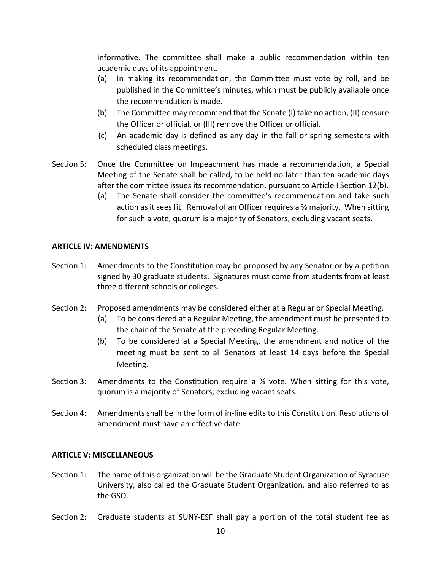informative. The committee shall make a public recommendation within ten academic days of its appointment.

- (a) In making its recommendation, the Committee must vote by roll, and be published in the Committee's minutes, which must be publicly available once the recommendation is made.
- (b) The Committee may recommend that the Senate (I) take no action, (II) censure the Officer or official, or (III) remove the Officer or official.
- (c) An academic day is defined as any day in the fall or spring semesters with scheduled class meetings.
- Section 5: Once the Committee on Impeachment has made a recommendation, a Special Meeting of the Senate shall be called, to be held no later than ten academic days after the committee issues its recommendation, pursuant to Article I Section  $12(b)$ .
	- (a) The Senate shall consider the committee's recommendation and take such action as it sees fit. Removal of an Officer requires a  $\frac{2}{3}$  majority. When sitting for such a vote, quorum is a majority of Senators, excluding vacant seats.

### **ARTICLE IV: AMENDMENTS**

- Section 1: Amendments to the Constitution may be proposed by any Senator or by a petition signed by 30 graduate students. Signatures must come from students from at least three different schools or colleges.
- Section 2: Proposed amendments may be considered either at a Regular or Special Meeting.
	- (a) To be considered at a Regular Meeting, the amendment must be presented to the chair of the Senate at the preceding Regular Meeting.
	- (b) To be considered at a Special Meeting, the amendment and notice of the meeting must be sent to all Senators at least 14 days before the Special Meeting.
- Section 3: Amendments to the Constitution require a  $\frac{3}{4}$  vote. When sitting for this vote, quorum is a majority of Senators, excluding vacant seats.
- Section 4: Amendments shall be in the form of in-line edits to this Constitution. Resolutions of amendment must have an effective date.

#### **ARTICLE V: MISCELLANEOUS**

- Section 1: The name of this organization will be the Graduate Student Organization of Syracuse University, also called the Graduate Student Organization, and also referred to as the GSO.
- Section 2: Graduate students at SUNY-ESF shall pay a portion of the total student fee as